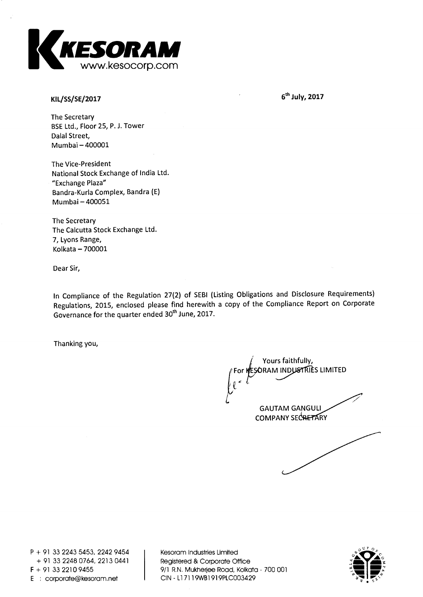

**KILAS/SE/2017** 

 $6<sup>th</sup>$  July, 2017

**The Secretary BSE Ltd., Floor 25, P. J. Tower Dalai Street, Mumbai — 400001** 

**The Vice-President National Stock Exchange of India Ltd. "Exchange Plaza" Bandra-Kurla Complex, Bandra (E) Mumbai — 400051** 

**The Secretary The Calcutta Stock Exchange Ltd. 7, Lyons Range, Kolkata — 700001** 

**Dear Sir,** 

**In Compliance of the Regulation 27(2) of SEBI (Listing Obligations and Disclosure Requirements) Regulations, 2015, enclosed please find herewith a copy of the Compliance Report on Corporate**  Governance for the quarter ended 30<sup>th</sup> June, 2017.

**Thanking you,** 

**Yours faithfully, it For RAM IND I S LIMITED GAUTAM GANGULI COMPANY SECRETARY** 

**P + 91 33 2243 5453, 2242 9454 + 91 33 2248 0764, 2213 0441 F + 91 33 2210 9455 E corporate@kesoram.net** 

**Kesoram Industries Limited Registered & Corporate Office 9/1 R.N. Mukherjee Road, Kolkata - 700 001 CIN - Ll 7119WB1919PLC003429** 

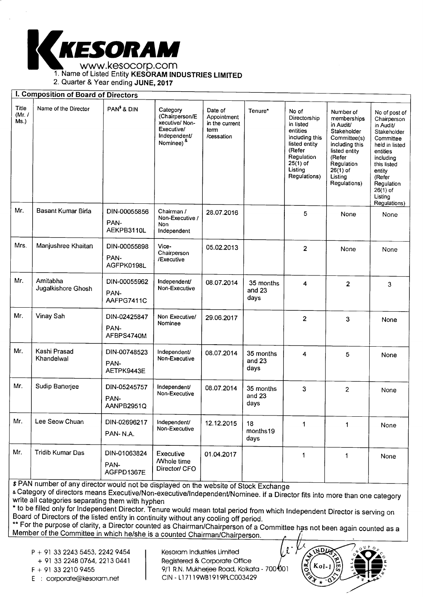

1. Name of Listed Entity **KESORAM INDUSTRIES LIMITED** 

2. Quarter & Year ending **JUNE, 2017** 

#### **I. Composition of Board of Directors**

| Title<br>(Mr. $/$<br>Ms.) | Name of the Director           | PAN <sup>\$</sup> & DIN            | Category<br>(Chairperson/E<br>xecutive/Non-<br>Executive/<br>Independent/<br>Nominee) <sup>&amp;</sup> | Date of<br>Appointment<br>in the current<br>term<br>/cessation | Tenure*                       | No of<br>Directorship<br>in listed<br>entities<br>including this<br>listed entity<br>(Refer<br>Regulation<br>$25(1)$ of<br>Listing<br>Regulations) | Number of<br>memberships<br>in Audit/<br>Stakeholder<br>Committee(s)<br>including this<br>listed entity<br>(Refer<br>Regulation<br>$26(1)$ of<br>Listing<br>Regulations) | No of post of<br>Chairperson<br>in Audit/<br>Stakeholder<br>Committee<br>held in listed<br>entities<br>including<br>this listed<br>entity<br>(Refer<br>Regulation<br>$26(1)$ of<br>Listing<br>Regulations) |
|---------------------------|--------------------------------|------------------------------------|--------------------------------------------------------------------------------------------------------|----------------------------------------------------------------|-------------------------------|----------------------------------------------------------------------------------------------------------------------------------------------------|--------------------------------------------------------------------------------------------------------------------------------------------------------------------------|------------------------------------------------------------------------------------------------------------------------------------------------------------------------------------------------------------|
| Mr.                       | Basant Kumar Birla             | DIN-00055856<br>PAN-<br>AEKPB3110L | Chairman /<br>Non-Executive /<br>Non<br>Independent                                                    | 28.07.2016                                                     |                               | 5                                                                                                                                                  | None                                                                                                                                                                     | None                                                                                                                                                                                                       |
| Mrs.                      | Manjushree Khaitan             | DIN-00055898<br>PAN-<br>AGFPK0198L | Vice-<br>Chairperson<br>/Executive                                                                     | 05.02.2013                                                     |                               | $\overline{2}$                                                                                                                                     | None                                                                                                                                                                     | None                                                                                                                                                                                                       |
| Mr.                       | Amitabha<br>Jugalkishore Ghosh | DIN-00055962<br>PAN-<br>AAFPG7411C | Independent/<br>Non-Executive                                                                          | 08.07.2014                                                     | 35 months<br>and 23<br>days   | 4                                                                                                                                                  | $\overline{2}$                                                                                                                                                           | 3                                                                                                                                                                                                          |
| Mr.                       | Vinay Sah                      | DIN-02425847<br>PAN-<br>AFBPS4740M | Non Executive/<br>Nominee                                                                              | 29.06.2017                                                     |                               | 2                                                                                                                                                  | 3                                                                                                                                                                        | None                                                                                                                                                                                                       |
| Mr.                       | Kashi Prasad<br>Khandelwal     | DIN-00748523<br>PAN-<br>AETPK9443E | Independent/<br>Non-Executive                                                                          | 08.07.2014                                                     | 35 months<br>and $23$<br>days | 4                                                                                                                                                  | 5                                                                                                                                                                        | None                                                                                                                                                                                                       |
| Mr.                       | Sudip Banerjee                 | DIN-05245757<br>PAN-<br>AANPB2951Q | Independent/<br>Non-Executive                                                                          | 08.07.2014                                                     | 35 months<br>and 23<br>days   | 3                                                                                                                                                  | 2                                                                                                                                                                        | None                                                                                                                                                                                                       |
| Mr.                       | Lee Seow Chuan                 | DIN-02696217<br>PAN-N.A.           | Independent/<br>Non-Executive                                                                          | 12.12.2015                                                     | 18<br>months19<br>days        | 1                                                                                                                                                  | 1                                                                                                                                                                        | None                                                                                                                                                                                                       |
| Mr.                       | <b>Tridib Kumar Das</b>        | DIN-01063824<br>PAN-<br>AGFPD1367E | Executive<br><b>Mhole time</b><br>Director/ CFO                                                        | 01.04.2017                                                     |                               | 1                                                                                                                                                  | 1                                                                                                                                                                        | None                                                                                                                                                                                                       |

\$ PAN number of any director would not be displayed on the website of Stock Exchange

& Category of directors means Executive/Non-executive/Independent/Nominee. if a Director fits into more than one category write all categories separating them with hyphen

" to be filled only for Independent Director. Tenure would mean total period from which Independent Director is serving on<br>Board of Directors of the listed ontituin continuity with submit Board of Directors of the listed entity in continuity without any cooling off period.

\*\* For the purpose of clarity, a Director counted as Chairman/Chairperson of a Committee has not been again counted as a<br>Member of the Committee in which ba*le*be is a sounted Obsiness (Obsiness of the Committee has not be Member of the Committee in which he/she is a counted Chairman/Chairperson.

P + 91 33 2243 5453, 2242 9454

+ 91 33 2248 0764, 2213 0441

E : corporate@kesoram.net

Kesoram Industries Limited Registered & Corporate Office  $F + 91 33 2210 9455$ <br>  $F + 91 33 2210 9455$ <br>  $C \cdot 2000 \cdot 1000 \cdot 1000 \cdot 1000 \cdot 1000 \cdot 1000 \cdot 1000 \cdot 1000 \cdot 1000 \cdot 1000 \cdot 1000 \cdot 1000 \cdot 1000 \cdot 1000 \cdot 1000 \cdot 1000 \cdot 1000 \cdot 1000 \cdot 1000 \cdot 1000 \cdot 1000 \cdot 1000 \cdot 1000 \cdot 1000 \cdot 1000$  NDL

Kol.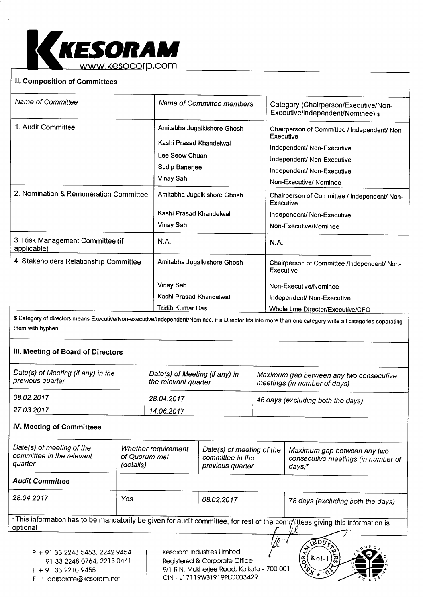

# **H. Composition of Committees**

| Category (Chairperson/Executive/Non-         |
|----------------------------------------------|
| Executive/independent/Nominee) \$            |
| Chairperson of Committee / Independent/ Non- |
| Chairperson of Committee / Independent/ Non- |
|                                              |
| Chairperson of Committee /Independent/ Non-  |
|                                              |
|                                              |
| Whole time Director/Executive/CFO            |
|                                              |

\$ Category of directors means Executive/Non-executive/Independent/Nominee. if a Director fits into more than one category write all categories separating them with hyphen

### **III.Meeting of Board of Directors**

| Date(s) of Meeting (if any) in the<br>previous quarter | Date(s) of Meeting (if any) in<br>the relevant quarter | Maximum gap between any two consecutive<br>meetings (in number of days) |
|--------------------------------------------------------|--------------------------------------------------------|-------------------------------------------------------------------------|
| 08.02.2017                                             | 28.04.2017                                             | 46 days (excluding both the days)                                       |
| 27.03.2017                                             | 14.06.2017                                             |                                                                         |

## **IV. Meeting of Committees**

E corporate@kesoram.net

| Date(s) of meeting of the<br>committee in the relevant<br>quarter                         | Whether requirement<br>of Quorum met<br>(details) | Date(s) of meeting of the<br>committee in the<br>previous quarter                                         | Maximum gap between any two<br>consecutive meetings (in number of<br>days)*                                                  |  |
|-------------------------------------------------------------------------------------------|---------------------------------------------------|-----------------------------------------------------------------------------------------------------------|------------------------------------------------------------------------------------------------------------------------------|--|
| <b>Audit Committee</b>                                                                    |                                                   |                                                                                                           |                                                                                                                              |  |
| 28.04.2017                                                                                | Yes                                               | 08.02.2017                                                                                                | 78 days (excluding both the days)                                                                                            |  |
| optional                                                                                  |                                                   |                                                                                                           | . This information has to be mandatorily be given for audit committee, for rest of the committees giving this information is |  |
| $P + 91$ 33 2243 5453, 2242 9454<br>+ 91 33 2248 0764, 2213 0441<br>$F + 91$ 33 2210 9455 |                                                   | Kesoram Industries Limited<br>Registered & Corporate Office<br>9/1 R.N. Mukherjee Road, Kolkata - 700 001 | <b>RNDU</b><br>듮<br>50 <sup>2</sup><br>$Kol-1$<br>.৵১                                                                        |  |

CIN - Ll 7119WB1919PLC003429

 $\sqrt{6}$